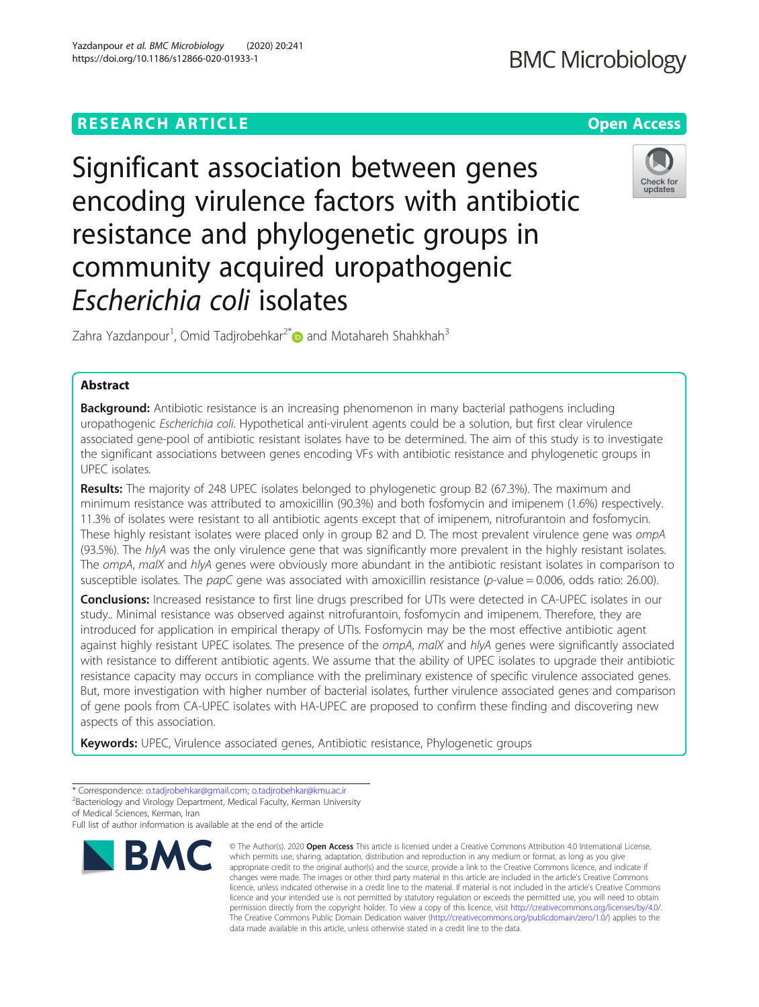# **RESEARCH ARTICLE Example 2014 12:30 The Contract of Contract ACCESS**

# Significant association between genes encoding virulence factors with antibiotic resistance and phylogenetic groups in community acquired uropathogenic Escherichia coli isolates

Zahra Yazdanpour<sup>1</sup>, Omid Tadjrobehkar<sup>2[\\*](http://orcid.org/0000-0002-5562-8079)</sup> and Motahareh Shahkhah<sup>3</sup>

## Abstract

**Background:** Antibiotic resistance is an increasing phenomenon in many bacterial pathogens including uropathogenic Escherichia coli. Hypothetical anti-virulent agents could be a solution, but first clear virulence associated gene-pool of antibiotic resistant isolates have to be determined. The aim of this study is to investigate the significant associations between genes encoding VFs with antibiotic resistance and phylogenetic groups in UPEC isolates.

Results: The majority of 248 UPEC isolates belonged to phylogenetic group B2 (67.3%). The maximum and minimum resistance was attributed to amoxicillin (90.3%) and both fosfomycin and imipenem (1.6%) respectively. 11.3% of isolates were resistant to all antibiotic agents except that of imipenem, nitrofurantoin and fosfomycin. These highly resistant isolates were placed only in group B2 and D. The most prevalent virulence gene was ompA (93.5%). The hlyA was the only virulence gene that was significantly more prevalent in the highly resistant isolates. The ompA, malX and hlyA genes were obviously more abundant in the antibiotic resistant isolates in comparison to susceptible isolates. The papC gene was associated with amoxicillin resistance (p-value = 0.006, odds ratio: 26.00).

Conclusions: Increased resistance to first line drugs prescribed for UTIs were detected in CA-UPEC isolates in our study.. Minimal resistance was observed against nitrofurantoin, fosfomycin and imipenem. Therefore, they are introduced for application in empirical therapy of UTIs. Fosfomycin may be the most effective antibiotic agent against highly resistant UPEC isolates. The presence of the ompA, malX and hlyA genes were significantly associated with resistance to different antibiotic agents. We assume that the ability of UPEC isolates to upgrade their antibiotic resistance capacity may occurs in compliance with the preliminary existence of specific virulence associated genes. But, more investigation with higher number of bacterial isolates, further virulence associated genes and comparison of gene pools from CA-UPEC isolates with HA-UPEC are proposed to confirm these finding and discovering new aspects of this association.

Keywords: UPEC, Virulence associated genes, Antibiotic resistance, Phylogenetic groups

<sup>2</sup>Bacteriology and Virology Department, Medical Faculty, Kerman University of Medical Sciences, Kerman, Iran

Full list of author information is available at the end of the article

© The Author(s), 2020 **Open Access** This article is licensed under a Creative Commons Attribution 4.0 International License, which permits use, sharing, adaptation, distribution and reproduction in any medium or format, as long as you give









<sup>\*</sup> Correspondence: [o.tadjrobehkar@gmail.com](mailto:o.tadjrobehkar@gmail.com); [o.tadjrobehkar@kmu.ac.ir](mailto:o.tadjrobehkar@kmu.ac.ir) <sup>2</sup>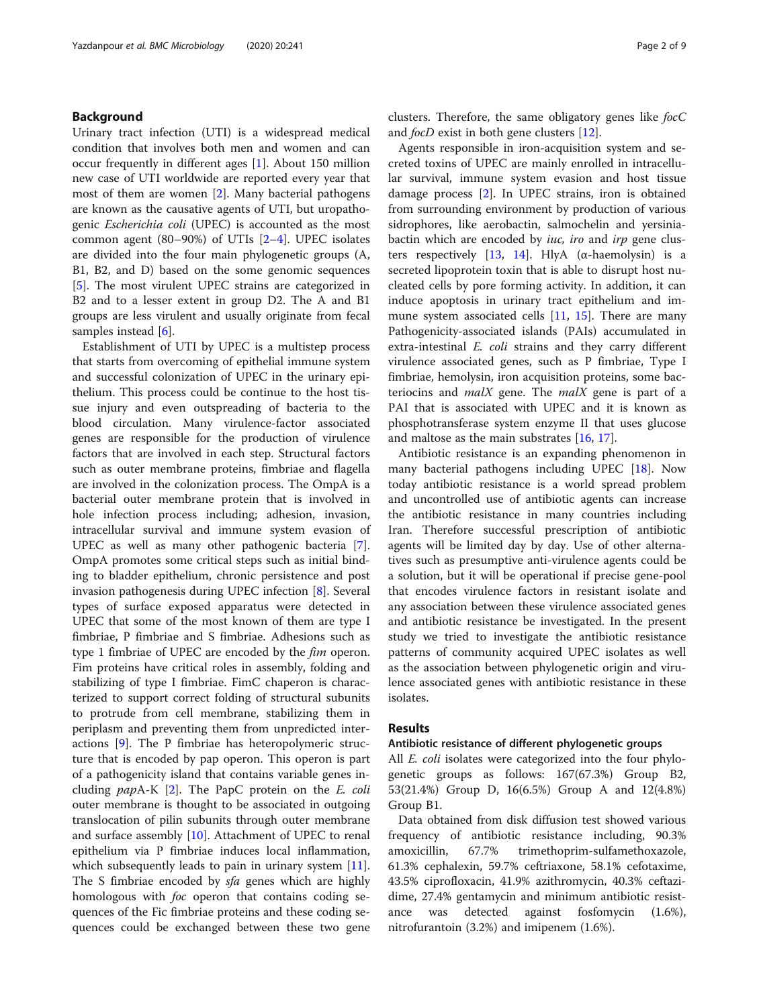## Background

Urinary tract infection (UTI) is a widespread medical condition that involves both men and women and can occur frequently in different ages [[1\]](#page-7-0). About 150 million new case of UTI worldwide are reported every year that most of them are women [[2\]](#page-7-0). Many bacterial pathogens are known as the causative agents of UTI, but uropathogenic Escherichia coli (UPEC) is accounted as the most common agent (80–90%) of UTIs [[2](#page-7-0)–[4](#page-7-0)]. UPEC isolates are divided into the four main phylogenetic groups (A, B1, B2, and D) based on the some genomic sequences [[5\]](#page-7-0). The most virulent UPEC strains are categorized in B2 and to a lesser extent in group D2. The A and B1 groups are less virulent and usually originate from fecal samples instead [[6\]](#page-7-0).

Establishment of UTI by UPEC is a multistep process that starts from overcoming of epithelial immune system and successful colonization of UPEC in the urinary epithelium. This process could be continue to the host tissue injury and even outspreading of bacteria to the blood circulation. Many virulence-factor associated genes are responsible for the production of virulence factors that are involved in each step. Structural factors such as outer membrane proteins, fimbriae and flagella are involved in the colonization process. The OmpA is a bacterial outer membrane protein that is involved in hole infection process including; adhesion, invasion, intracellular survival and immune system evasion of UPEC as well as many other pathogenic bacteria [\[7](#page-7-0)]. OmpA promotes some critical steps such as initial binding to bladder epithelium, chronic persistence and post invasion pathogenesis during UPEC infection [\[8](#page-7-0)]. Several types of surface exposed apparatus were detected in UPEC that some of the most known of them are type I fimbriae, P fimbriae and S fimbriae. Adhesions such as type 1 fimbriae of UPEC are encoded by the fim operon. Fim proteins have critical roles in assembly, folding and stabilizing of type I fimbriae. FimC chaperon is characterized to support correct folding of structural subunits to protrude from cell membrane, stabilizing them in periplasm and preventing them from unpredicted interactions [\[9](#page-7-0)]. The P fimbriae has heteropolymeric structure that is encoded by pap operon. This operon is part of a pathogenicity island that contains variable genes including  $papA-K$  [[2](#page-7-0)]. The PapC protein on the E. coli outer membrane is thought to be associated in outgoing translocation of pilin subunits through outer membrane and surface assembly [[10\]](#page-7-0). Attachment of UPEC to renal epithelium via P fimbriae induces local inflammation, which subsequently leads to pain in urinary system [\[11](#page-7-0)]. The S fimbriae encoded by sfa genes which are highly homologous with *foc* operon that contains coding sequences of the Fic fimbriae proteins and these coding sequences could be exchanged between these two gene

clusters. Therefore, the same obligatory genes like focC and focD exist in both gene clusters [\[12\]](#page-7-0).

Agents responsible in iron-acquisition system and secreted toxins of UPEC are mainly enrolled in intracellular survival, immune system evasion and host tissue damage process [[2\]](#page-7-0). In UPEC strains, iron is obtained from surrounding environment by production of various sidrophores, like aerobactin, salmochelin and yersiniabactin which are encoded by *iuc*, *iro* and *irp* gene clus-ters respectively [[13,](#page-7-0) [14](#page-7-0)]. HlyA  $(\alpha$ -haemolysin) is a secreted lipoprotein toxin that is able to disrupt host nucleated cells by pore forming activity. In addition, it can induce apoptosis in urinary tract epithelium and immune system associated cells [\[11,](#page-7-0) [15](#page-7-0)]. There are many Pathogenicity-associated islands (PAIs) accumulated in extra-intestinal E. coli strains and they carry different virulence associated genes, such as P fimbriae, Type I fimbriae, hemolysin, iron acquisition proteins, some bacteriocins and malX gene. The malX gene is part of a PAI that is associated with UPEC and it is known as phosphotransferase system enzyme II that uses glucose and maltose as the main substrates [\[16](#page-7-0), [17](#page-7-0)].

Antibiotic resistance is an expanding phenomenon in many bacterial pathogens including UPEC [\[18](#page-7-0)]. Now today antibiotic resistance is a world spread problem and uncontrolled use of antibiotic agents can increase the antibiotic resistance in many countries including Iran. Therefore successful prescription of antibiotic agents will be limited day by day. Use of other alternatives such as presumptive anti-virulence agents could be a solution, but it will be operational if precise gene-pool that encodes virulence factors in resistant isolate and any association between these virulence associated genes and antibiotic resistance be investigated. In the present study we tried to investigate the antibiotic resistance patterns of community acquired UPEC isolates as well as the association between phylogenetic origin and virulence associated genes with antibiotic resistance in these isolates.

## Results

#### Antibiotic resistance of different phylogenetic groups

All *E. coli* isolates were categorized into the four phylogenetic groups as follows: 167(67.3%) Group B2, 53(21.4%) Group D, 16(6.5%) Group A and 12(4.8%) Group B1.

Data obtained from disk diffusion test showed various frequency of antibiotic resistance including, 90.3% amoxicillin, 67.7% trimethoprim-sulfamethoxazole, 61.3% cephalexin, 59.7% ceftriaxone, 58.1% cefotaxime, 43.5% ciprofloxacin, 41.9% azithromycin, 40.3% ceftazidime, 27.4% gentamycin and minimum antibiotic resistance was detected against fosfomycin (1.6%), nitrofurantoin (3.2%) and imipenem (1.6%).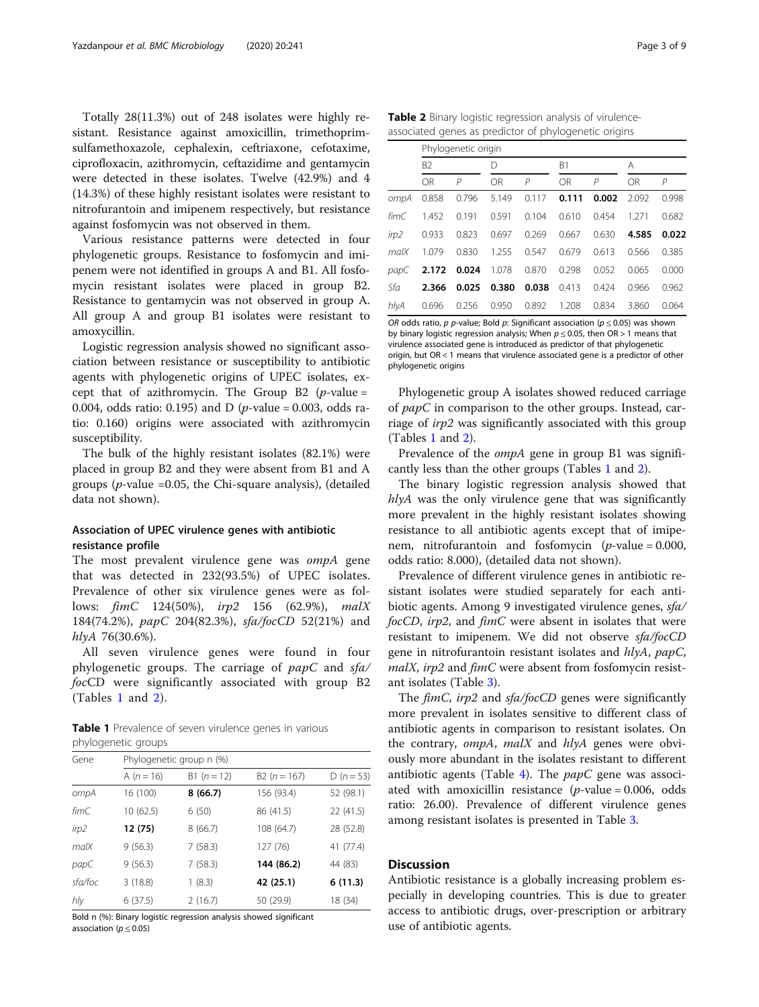<span id="page-2-0"></span>Totally 28(11.3%) out of 248 isolates were highly resistant. Resistance against amoxicillin, trimethoprimsulfamethoxazole, cephalexin, ceftriaxone, cefotaxime, ciprofloxacin, azithromycin, ceftazidime and gentamycin were detected in these isolates. Twelve (42.9%) and 4 (14.3%) of these highly resistant isolates were resistant to nitrofurantoin and imipenem respectively, but resistance against fosfomycin was not observed in them.

Various resistance patterns were detected in four phylogenetic groups. Resistance to fosfomycin and imipenem were not identified in groups A and B1. All fosfomycin resistant isolates were placed in group B2. Resistance to gentamycin was not observed in group A. All group A and group B1 isolates were resistant to amoxycillin.

Logistic regression analysis showed no significant association between resistance or susceptibility to antibiotic agents with phylogenetic origins of UPEC isolates, except that of azithromycin. The Group B2  $(p$ -value = 0.004, odds ratio: 0.195) and D ( $p$ -value = 0.003, odds ratio: 0.160) origins were associated with azithromycin susceptibility.

The bulk of the highly resistant isolates (82.1%) were placed in group B2 and they were absent from B1 and A groups ( $p$ -value =0.05, the Chi-square analysis), (detailed data not shown).

## Association of UPEC virulence genes with antibiotic resistance profile

The most prevalent virulence gene was ompA gene that was detected in 232(93.5%) of UPEC isolates. Prevalence of other six virulence genes were as follows: fimC 124(50%), irp2 156 (62.9%), malX 184(74.2%), papC 204(82.3%), sfa/focCD 52(21%) and hlyA 76(30.6%).

All seven virulence genes were found in four phylogenetic groups. The carriage of  $papC$  and  $sfa/$ focCD were significantly associated with group B2 (Tables 1 and 2).

| Table 1 Prevalence of seven virulence genes in various |  |  |
|--------------------------------------------------------|--|--|
| phylogenetic groups                                    |  |  |

| Gene    |              | Phylogenetic group n (%) |                              |                |
|---------|--------------|--------------------------|------------------------------|----------------|
|         | A $(n = 16)$ | B1 $(n = 12)$            | B <sub>2</sub> ( $n = 167$ ) | D ( $n = 53$ ) |
| ompA    | 16 (100)     | 8(66.7)                  | 156 (93.4)                   | 52 (98.1)      |
| fimC    | 10 (62.5)    | 6(50)                    | 86 (41.5)                    | 22 (41.5)      |
| irp2    | 12 (75)      | 8(66.7)                  | 108 (64.7)                   | 28 (52.8)      |
| malX    | 9(56.3)      | 7(58.3)                  | 127 (76)                     | 41 (77.4)      |
| papC    | 9(56.3)      | 7(58.3)                  | 144 (86.2)                   | 44 (83)        |
| sfa/foc | 3(18.8)      | 1(8.3)                   | 42 (25.1)                    | 6(11.3)        |
| hly     | 6(37.5)      | 2(16.7)                  | 50 (29.9)                    | 18 (34)        |

Bold n (%): Binary logistic regression analysis showed significant

association ( $p \leq 0.05$ )

Table 2 Binary logistic regression analysis of virulenceassociated genes as predictor of phylogenetic origins

|      |                | Phylogenetic origin |       |       |       |       |       |       |
|------|----------------|---------------------|-------|-------|-------|-------|-------|-------|
|      | B <sub>2</sub> |                     | D     |       | B1    |       | Α     |       |
|      | OR             | P                   | OR    | P     | OR    | P     | OR    | P     |
| ompA | 0.858          | 0.796               | 5.149 | 0.117 | 0.111 | 0.002 | 2.092 | 0.998 |
| fimC | 1.452          | 0.191               | 0.591 | 0.104 | 0.610 | 0.454 | 1.271 | 0.682 |
| irp2 | 0.933          | 0.823               | 0.697 | 0.269 | 0.667 | 0.630 | 4.585 | 0.022 |
| malX | 1.079          | 0.830               | 1.255 | 0.547 | 0.679 | 0.613 | 0.566 | 0.385 |
| papC | 2.172          | 0.024               | 1.078 | 0.870 | 0.298 | 0.052 | 0.065 | 0.000 |
| Sfa  | 2.366          | 0.025               | 0.380 | 0.038 | 0.413 | 0.424 | 0.966 | 0.962 |
| hlyA | 0.696          | 0.256               | 0.950 | 0.892 | 1.208 | 0.834 | 3.860 | 0.064 |
|      |                |                     |       |       |       |       |       |       |

OR odds ratio, p p-value; Bold p: Significant association ( $p \le 0.05$ ) was shown by binary logistic regression analysis; When  $p \le 0.05$ , then OR > 1 means that virulence associated gene is introduced as predictor of that phylogenetic origin, but OR < 1 means that virulence associated gene is a predictor of other phylogenetic origins

Phylogenetic group A isolates showed reduced carriage of  $papC$  in comparison to the other groups. Instead, carriage of irp2 was significantly associated with this group (Tables 1 and 2).

Prevalence of the *ompA* gene in group B1 was significantly less than the other groups (Tables 1 and 2).

The binary logistic regression analysis showed that hlyA was the only virulence gene that was significantly more prevalent in the highly resistant isolates showing resistance to all antibiotic agents except that of imipenem, nitrofurantoin and fosfomycin  $(p$ -value = 0.000, odds ratio: 8.000), (detailed data not shown).

Prevalence of different virulence genes in antibiotic resistant isolates were studied separately for each antibiotic agents. Among 9 investigated virulence genes, sfa/ focCD, irp2, and fimC were absent in isolates that were resistant to imipenem. We did not observe sfa/focCD gene in nitrofurantoin resistant isolates and hlyA, papC,  $m$ alX, irp2 and  $\lim C$  were absent from fosfomycin resistant isolates (Table [3](#page-3-0)).

The *fimC*, *irp2* and *sfa/focCD* genes were significantly more prevalent in isolates sensitive to different class of antibiotic agents in comparison to resistant isolates. On the contrary,  $ompA$ ,  $malX$  and  $hlyA$  genes were obviously more abundant in the isolates resistant to different antibiotic agents (Table [4\)](#page-4-0). The  $papC$  gene was associated with amoxicillin resistance  $(p$ -value = 0.006, odds ratio: 26.00). Prevalence of different virulence genes among resistant isolates is presented in Table [3](#page-3-0).

## Discussion

Antibiotic resistance is a globally increasing problem especially in developing countries. This is due to greater access to antibiotic drugs, over-prescription or arbitrary use of antibiotic agents.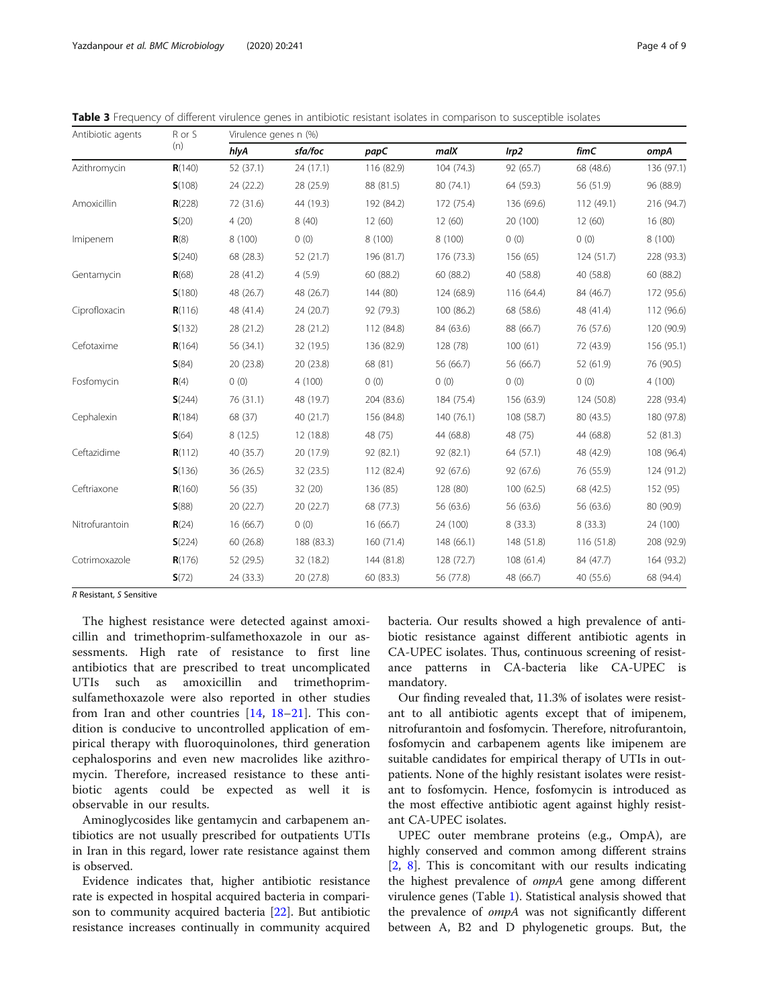| Antibiotic agents | R or S | Virulence genes n (%) |            |            |            |                  |            |            |
|-------------------|--------|-----------------------|------------|------------|------------|------------------|------------|------------|
|                   | (n)    | hlyA                  | sfa/foc    | papC       | malX       | Irp <sub>2</sub> | fimC       | ompA       |
| Azithromycin      | R(140) | 52 (37.1)             | 24 (17.1)  | 116 (82.9) | 104 (74.3) | 92 (65.7)        | 68 (48.6)  | 136 (97.1) |
|                   | S(108) | 24 (22.2)             | 28 (25.9)  | 88 (81.5)  | 80 (74.1)  | 64 (59.3)        | 56 (51.9)  | 96 (88.9)  |
| Amoxicillin       | R(228) | 72 (31.6)             | 44 (19.3)  | 192 (84.2) | 172 (75.4) | 136 (69.6)       | 112(49.1)  | 216 (94.7) |
|                   | S(20)  | 4(20)                 | 8(40)      | 12(60)     | 12(60)     | 20 (100)         | 12(60)     | 16(80)     |
| Imipenem          | R(8)   | 8(100)                | 0(0)       | 8 (100)    | 8 (100)    | 0(0)             | (0)        | 8 (100)    |
|                   | S(240) | 68 (28.3)             | 52 (21.7)  | 196 (81.7) | 176 (73.3) | 156 (65)         | 124(51.7)  | 228 (93.3) |
| Gentamycin        | R(68)  | 28 (41.2)             | 4(5.9)     | 60 (88.2)  | 60 (88.2)  | 40 (58.8)        | 40 (58.8)  | 60 (88.2)  |
|                   | S(180) | 48 (26.7)             | 48 (26.7)  | 144 (80)   | 124 (68.9) | 116 (64.4)       | 84 (46.7)  | 172 (95.6) |
| Ciprofloxacin     | R(116) | 48 (41.4)             | 24 (20.7)  | 92 (79.3)  | 100 (86.2) | 68 (58.6)        | 48 (41.4)  | 112 (96.6) |
|                   | S(132) | 28 (21.2)             | 28 (21.2)  | 112 (84.8) | 84 (63.6)  | 88 (66.7)        | 76 (57.6)  | 120 (90.9) |
| Cefotaxime        | R(164) | 56 (34.1)             | 32 (19.5)  | 136 (82.9) | 128 (78)   | 100(61)          | 72 (43.9)  | 156 (95.1) |
|                   | S(84)  | 20 (23.8)             | 20 (23.8)  | 68 (81)    | 56 (66.7)  | 56 (66.7)        | 52 (61.9)  | 76 (90.5)  |
| Fosfomycin        | R(4)   | 0(0)                  | 4(100)     | (0)        | (0)        | 0(0)             | (0)        | 4(100)     |
|                   | S(244) | 76 (31.1)             | 48 (19.7)  | 204 (83.6) | 184 (75.4) | 156 (63.9)       | 124 (50.8) | 228 (93.4) |
| Cephalexin        | R(184) | 68 (37)               | 40 (21.7)  | 156 (84.8) | 140 (76.1) | 108 (58.7)       | 80 (43.5)  | 180 (97.8) |
|                   | S(64)  | 8(12.5)               | 12 (18.8)  | 48 (75)    | 44 (68.8)  | 48 (75)          | 44 (68.8)  | 52 (81.3)  |
| Ceftazidime       | R(112) | 40 (35.7)             | 20 (17.9)  | 92 (82.1)  | 92 (82.1)  | 64 (57.1)        | 48 (42.9)  | 108 (96.4) |
|                   | S(136) | 36 (26.5)             | 32 (23.5)  | 112 (82.4) | 92(67.6)   | 92 (67.6)        | 76 (55.9)  | 124 (91.2) |
| Ceftriaxone       | R(160) | 56 (35)               | 32(20)     | 136 (85)   | 128 (80)   | 100(62.5)        | 68 (42.5)  | 152 (95)   |
|                   | S(88)  | 20(22.7)              | 20(22.7)   | 68 (77.3)  | 56 (63.6)  | 56 (63.6)        | 56 (63.6)  | 80 (90.9)  |
| Nitrofurantoin    | R(24)  | 16(66.7)              | 0(0)       | 16(66.7)   | 24 (100)   | 8(33.3)          | 8(33.3)    | 24 (100)   |
|                   | S(224) | 60(26.8)              | 188 (83.3) | 160 (71.4) | 148 (66.1) | 148 (51.8)       | 116 (51.8) | 208 (92.9) |
| Cotrimoxazole     | R(176) | 52 (29.5)             | 32 (18.2)  | 144 (81.8) | 128 (72.7) | 108 (61.4)       | 84 (47.7)  | 164 (93.2) |
|                   | S(72)  | 24 (33.3)             | 20 (27.8)  | 60 (83.3)  | 56 (77.8)  | 48 (66.7)        | 40 (55.6)  | 68 (94.4)  |

<span id="page-3-0"></span>Table 3 Frequency of different virulence genes in antibiotic resistant isolates in comparison to susceptible isolates

R Resistant, S Sensitive

The highest resistance were detected against amoxicillin and trimethoprim-sulfamethoxazole in our assessments. High rate of resistance to first line antibiotics that are prescribed to treat uncomplicated UTIs such as amoxicillin and trimethoprimsulfamethoxazole were also reported in other studies from Iran and other countries [[14,](#page-7-0) [18](#page-7-0)–[21\]](#page-7-0). This condition is conducive to uncontrolled application of empirical therapy with fluoroquinolones, third generation cephalosporins and even new macrolides like azithromycin. Therefore, increased resistance to these antibiotic agents could be expected as well it is observable in our results.

Aminoglycosides like gentamycin and carbapenem antibiotics are not usually prescribed for outpatients UTIs in Iran in this regard, lower rate resistance against them is observed.

Evidence indicates that, higher antibiotic resistance rate is expected in hospital acquired bacteria in comparison to community acquired bacteria [\[22](#page-7-0)]. But antibiotic resistance increases continually in community acquired bacteria. Our results showed a high prevalence of antibiotic resistance against different antibiotic agents in CA-UPEC isolates. Thus, continuous screening of resistance patterns in CA-bacteria like CA-UPEC is mandatory.

Our finding revealed that, 11.3% of isolates were resistant to all antibiotic agents except that of imipenem, nitrofurantoin and fosfomycin. Therefore, nitrofurantoin, fosfomycin and carbapenem agents like imipenem are suitable candidates for empirical therapy of UTIs in outpatients. None of the highly resistant isolates were resistant to fosfomycin. Hence, fosfomycin is introduced as the most effective antibiotic agent against highly resistant CA-UPEC isolates.

UPEC outer membrane proteins (e.g., OmpA), are highly conserved and common among different strains [[2,](#page-7-0) [8\]](#page-7-0). This is concomitant with our results indicating the highest prevalence of *ompA* gene among different virulence genes (Table [1](#page-2-0)). Statistical analysis showed that the prevalence of *ompA* was not significantly different between A, B2 and D phylogenetic groups. But, the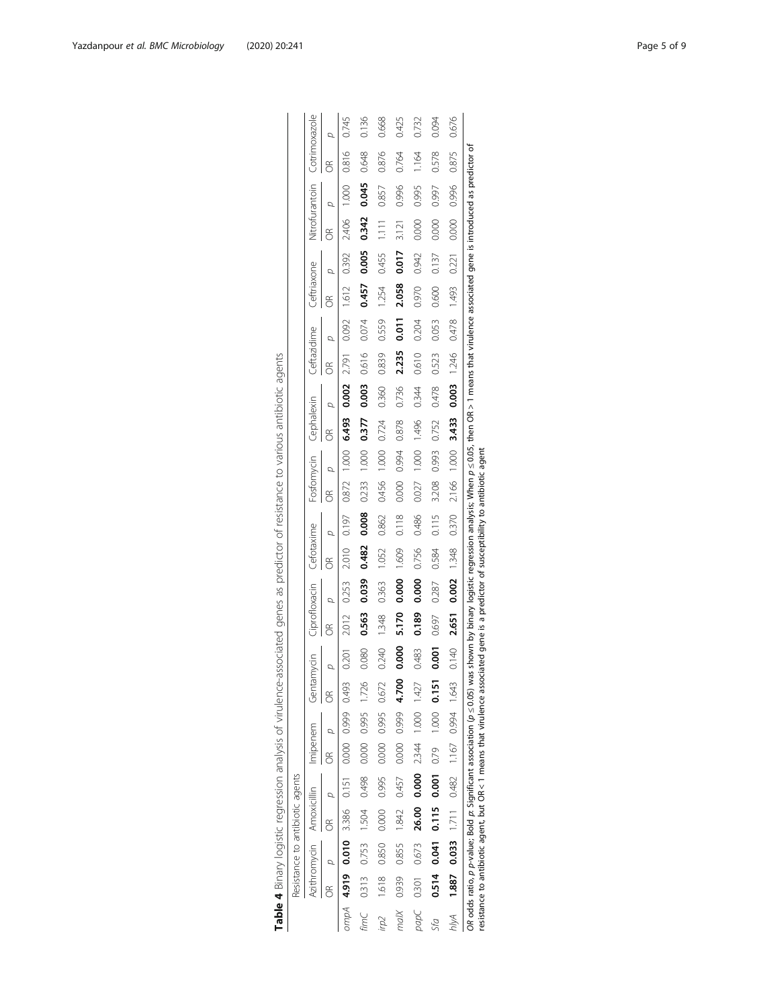<span id="page-4-0"></span>

|      |       | Resistance to antibiotic agents                                                                                                                                                                                                                                                                                                                                          |             |             |                         |            |       |               |               |            |       |            |       |            |       |             |                                 |             |       |                |       |               |       |
|------|-------|--------------------------------------------------------------------------------------------------------------------------------------------------------------------------------------------------------------------------------------------------------------------------------------------------------------------------------------------------------------------------|-------------|-------------|-------------------------|------------|-------|---------------|---------------|------------|-------|------------|-------|------------|-------|-------------|---------------------------------|-------------|-------|----------------|-------|---------------|-------|
|      |       | Azithromycin Amoxicillin                                                                                                                                                                                                                                                                                                                                                 |             | Imipenem    |                         | Gentamycir |       | Ciprofloxacin |               | Cefotaxime |       | Fosfomycin |       | Cephalexin |       | Ceftazidime |                                 | Ceftriaxone |       | Nitrofurantoin |       | Cotrimoxazole |       |
|      |       |                                                                                                                                                                                                                                                                                                                                                                          |             |             |                         | $\approx$  |       |               |               |            |       |            |       |            |       |             |                                 |             |       |                |       |               |       |
|      |       | omp4 4.919 0.010 3.386 0.151 0.000 0.099 0.493                                                                                                                                                                                                                                                                                                                           |             |             |                         |            |       |               | 0.253         | 2.010      | 0.197 | 0.872      | 1,000 | 6.493      | 0.002 | 2.791       | 0.092                           | 1.612       | 0.392 | 2.406          |       | 0.816         | 0.745 |
|      |       | firm 0.313 0.753 1.504 0.498 0.000 0.000 0.726                                                                                                                                                                                                                                                                                                                           |             |             |                         |            | 0.080 | 0.563         | 0.039         | 0.482      | 0.008 | 0.233      | 1.000 | 0.377      | 0.003 | 0.616       | 0.074                           | 0.457       | 0.005 | 0.342          | 0.045 | 0.648         | 0.136 |
| irp2 | 1.618 | 0.850                                                                                                                                                                                                                                                                                                                                                                    | 0.000 0.995 |             | $0.000$ $0.995$ $0.672$ |            | 0.240 | 1.348         | 0.363         | 1.052      | 0.862 | 0.456      | 1.000 | 0.724      | 0.360 | 0.839       | 0.559                           | 1.254       | 0.455 |                | 0.857 | 0.876         | 0.668 |
|      |       | malX 0.939 0.855 1.842 0.457                                                                                                                                                                                                                                                                                                                                             |             | 0.000 0.999 |                         | 4.700      | 8.000 | 5.170         | 8000          | 1.609      | 0.118 | 0.000      | 0.994 | 0.878      | 0.736 | 2.235       | $\frac{1}{2}$                   | 2.058       | 0.017 | 3.121          | 0.996 | 0.764         | 0.425 |
| papC |       | 0.301 0.673 26.00 0.000 2.344 1.000 1.427                                                                                                                                                                                                                                                                                                                                |             |             |                         |            | 0.483 | 0.189         | 0.000         | 0.756      | 0.486 | 0.027      | 1.000 | 1.496      | 0.344 | 0.610       | 0.204                           | 0.970       | 0.942 | 0.000          | 0.995 | 1.164         | 0.732 |
| Sfa  |       | $0.514$ $0.041$ $0.115$ $0.001$ $0.79$ $1.000$ $0.15$                                                                                                                                                                                                                                                                                                                    |             |             |                         |            | ຣິ    | 0.697         | 0.287         | 0.584      | 0.115 | 3.208      | 0.993 | 0.752      | 0.478 | 0.523       | 0.053                           | 0.600       | 0.137 | 0.000          | 0.997 | 0.578         | D.094 |
|      |       | hMA 1.887 0.033 1.711 0.482 1.167 0.994 1.643                                                                                                                                                                                                                                                                                                                            |             |             |                         |            | 0.140 | 2.651         | $0.002$ 1.348 |            | 0.370 | 2.166      | 1.000 | 3.433      |       |             | $0.003$ $1.246$ $0.478$ $1.493$ |             | 0.221 | 0.000          | 0.996 | 0.875         | 0.676 |
|      |       | OR odds ratio, $p$ o-value; Bold $p$ : Significant association (p $\leq$ 0.05) was shown by binary logistic regression analysis; When $p \leq$ 0.05, then OR > 1 means that virulence associated gene is introduced as predictor<br>resistance to antibiotic agent, but OR < 1 means that virulence associated gene is a predictor of susceptibility to antibiotic agent |             |             |                         |            |       |               |               |            |       |            |       |            |       |             |                                 |             |       |                |       |               |       |

| ŗ                                                                                                  |  |
|----------------------------------------------------------------------------------------------------|--|
| i<br>j<br>j<br>֖֖֖֖֖֧ׅ֧ׅ֪ׅׅ֧֚֚֚֚֚֚֚֚֚֚֚֚֚֚֚֚֚֚֚֚֚֚֚֚֚֡֬֝֝֬֓֡֓֞֡֓֓֞֡֡֬֓֞֓֡֬֓֞֞֞֝֬<br>$\overline{ }$ |  |
| ֬֕֓                                                                                                |  |
| ֡֡֡֡֡֡֡֡֡<br>Ì                                                                                     |  |
| Ì                                                                                                  |  |
| í<br>$\ddot{\phantom{0}}$<br>١                                                                     |  |
| j<br>j<br>Í<br>î                                                                                   |  |
| i<br>ׇ֚֘                                                                                           |  |
| j<br>ï<br>į<br>í                                                                                   |  |
| j<br>j<br>İ                                                                                        |  |
| İ<br>l<br>١<br>i<br>i                                                                              |  |
| í<br>֬<br>ğ<br>١<br>Ï                                                                              |  |
| ١<br>I                                                                                             |  |
| ł<br>١                                                                                             |  |
| ì<br>i                                                                                             |  |
| ļ                                                                                                  |  |
| İ                                                                                                  |  |
| ֠<br>۱<br>Ï<br>ł<br>j<br>Ō<br>j<br>I                                                               |  |
| j<br>٢<br>١<br>Ī<br>j                                                                              |  |
| à<br>J<br>į<br>i                                                                                   |  |
| $\overline{6}$                                                                                     |  |
| į<br>j<br>١<br>Ï                                                                                   |  |
| j<br>ç                                                                                             |  |
| Ξ                                                                                                  |  |
| t                                                                                                  |  |
|                                                                                                    |  |
|                                                                                                    |  |
| i<br>5<br>İ                                                                                        |  |
| Ī<br>ļ<br>l<br>١                                                                                   |  |
| i                                                                                                  |  |
| i<br>j<br>١<br>Ï<br>j<br>l<br>١                                                                    |  |
| ì<br>¢<br>ï<br>ï                                                                                   |  |
|                                                                                                    |  |
| Ï<br>J<br>ï                                                                                        |  |
| ï<br>ż<br>ï                                                                                        |  |
| ŕ<br>Ċ                                                                                             |  |
| j                                                                                                  |  |
| $\frac{1}{2}$                                                                                      |  |
| I<br>ı                                                                                             |  |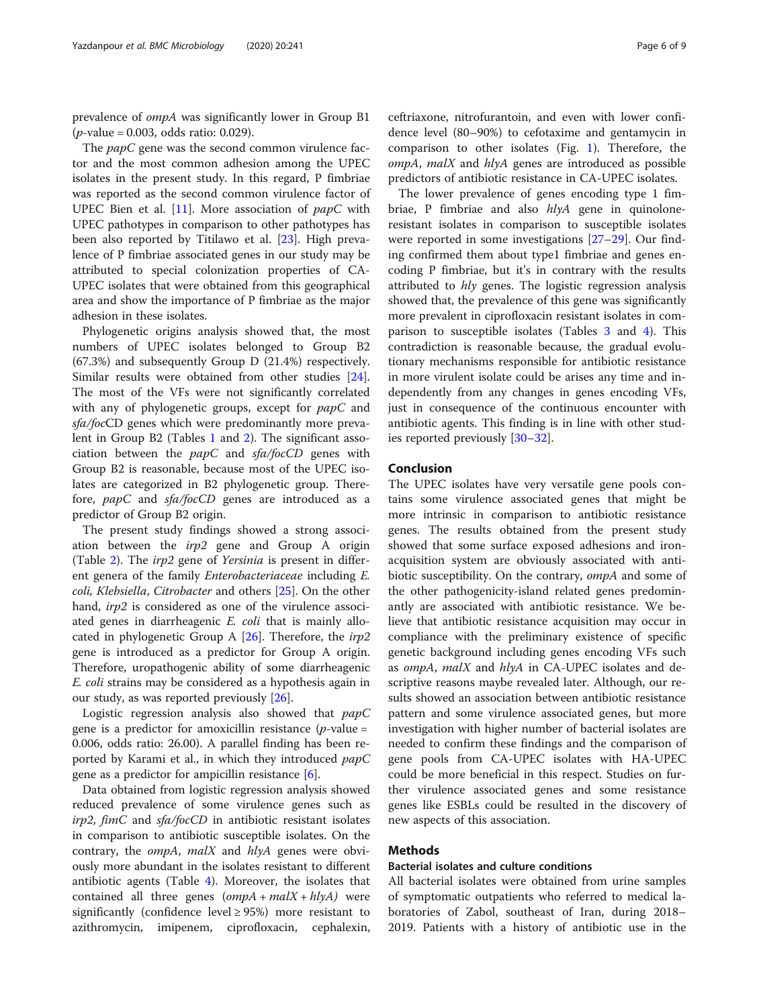prevalence of ompA was significantly lower in Group B1 (p-value = 0.003, odds ratio: 0.029).

The *papC* gene was the second common virulence factor and the most common adhesion among the UPEC isolates in the present study. In this regard, P fimbriae was reported as the second common virulence factor of UPEC Bien et al. [[11\]](#page-7-0). More association of papC with UPEC pathotypes in comparison to other pathotypes has been also reported by Titilawo et al. [[23\]](#page-8-0). High prevalence of P fimbriae associated genes in our study may be attributed to special colonization properties of CA-UPEC isolates that were obtained from this geographical area and show the importance of P fimbriae as the major adhesion in these isolates.

Phylogenetic origins analysis showed that, the most numbers of UPEC isolates belonged to Group B2 (67.3%) and subsequently Group D (21.4%) respectively. Similar results were obtained from other studies [\[24](#page-8-0)]. The most of the VFs were not significantly correlated with any of phylogenetic groups, except for *papC* and sfa/focCD genes which were predominantly more prevalent in Group B2 (Tables [1](#page-2-0) and [2](#page-2-0)). The significant association between the  $papC$  and  $sfa/focCD$  genes with Group B2 is reasonable, because most of the UPEC isolates are categorized in B2 phylogenetic group. Therefore, papC and sfa/focCD genes are introduced as a predictor of Group B2 origin.

The present study findings showed a strong association between the irp2 gene and Group A origin (Table [2](#page-2-0)). The irp2 gene of Yersinia is present in different genera of the family Enterobacteriaceae including E. coli, Klebsiella, Citrobacter and others [[25\]](#page-8-0). On the other hand, irp2 is considered as one of the virulence associated genes in diarrheagenic E. coli that is mainly allocated in phylogenetic Group A  $[26]$  $[26]$ . Therefore, the *irp2* gene is introduced as a predictor for Group A origin. Therefore, uropathogenic ability of some diarrheagenic E. coli strains may be considered as a hypothesis again in our study, as was reported previously [\[26](#page-8-0)].

Logistic regression analysis also showed that papC gene is a predictor for amoxicillin resistance  $(p$ -value = 0.006, odds ratio: 26.00). A parallel finding has been reported by Karami et al., in which they introduced papC gene as a predictor for ampicillin resistance [\[6](#page-7-0)].

Data obtained from logistic regression analysis showed reduced prevalence of some virulence genes such as  $irp2$ , fimC and  $sfa/focCD$  in antibiotic resistant isolates in comparison to antibiotic susceptible isolates. On the contrary, the  $ompA$ , malX and  $hlyA$  genes were obviously more abundant in the isolates resistant to different antibiotic agents (Table [4\)](#page-4-0). Moreover, the isolates that contained all three genes  $(ompA + malX + hlyA)$  were significantly (confidence level  $\geq$  95%) more resistant to azithromycin, imipenem, ciprofloxacin, cephalexin, ceftriaxone, nitrofurantoin, and even with lower confidence level (80–90%) to cefotaxime and gentamycin in comparison to other isolates (Fig. [1\)](#page-6-0). Therefore, the ompA, malX and hlyA genes are introduced as possible predictors of antibiotic resistance in CA-UPEC isolates.

The lower prevalence of genes encoding type 1 fimbriae, P fimbriae and also hlyA gene in quinoloneresistant isolates in comparison to susceptible isolates were reported in some investigations [\[27](#page-8-0)–[29\]](#page-8-0). Our finding confirmed them about type1 fimbriae and genes encoding P fimbriae, but it's in contrary with the results attributed to hly genes. The logistic regression analysis showed that, the prevalence of this gene was significantly more prevalent in ciprofloxacin resistant isolates in comparison to susceptible isolates (Tables [3](#page-3-0) and [4\)](#page-4-0). This contradiction is reasonable because, the gradual evolutionary mechanisms responsible for antibiotic resistance in more virulent isolate could be arises any time and independently from any changes in genes encoding VFs, just in consequence of the continuous encounter with antibiotic agents. This finding is in line with other studies reported previously [[30](#page-8-0)–[32](#page-8-0)].

#### Conclusion

The UPEC isolates have very versatile gene pools contains some virulence associated genes that might be more intrinsic in comparison to antibiotic resistance genes. The results obtained from the present study showed that some surface exposed adhesions and ironacquisition system are obviously associated with antibiotic susceptibility. On the contrary, ompA and some of the other pathogenicity-island related genes predominantly are associated with antibiotic resistance. We believe that antibiotic resistance acquisition may occur in compliance with the preliminary existence of specific genetic background including genes encoding VFs such as ompA, malX and hlyA in CA-UPEC isolates and descriptive reasons maybe revealed later. Although, our results showed an association between antibiotic resistance pattern and some virulence associated genes, but more investigation with higher number of bacterial isolates are needed to confirm these findings and the comparison of gene pools from CA-UPEC isolates with HA-UPEC could be more beneficial in this respect. Studies on further virulence associated genes and some resistance genes like ESBLs could be resulted in the discovery of new aspects of this association.

## Methods

### Bacterial isolates and culture conditions

All bacterial isolates were obtained from urine samples of symptomatic outpatients who referred to medical laboratories of Zabol, southeast of Iran, during 2018– 2019. Patients with a history of antibiotic use in the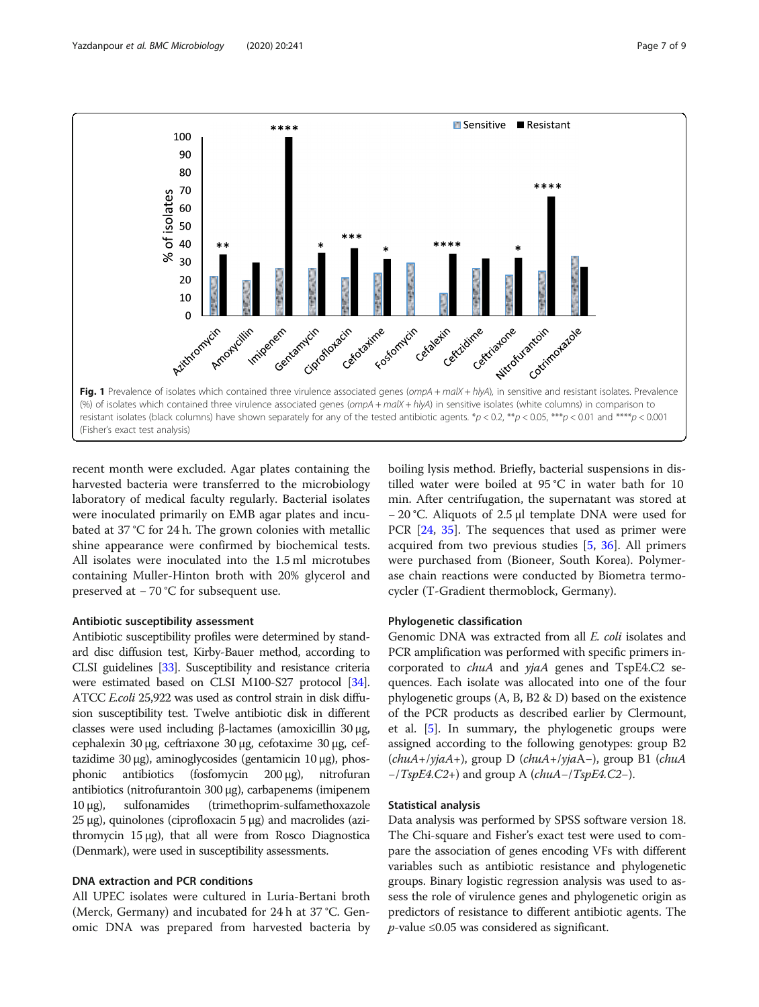<span id="page-6-0"></span>

recent month were excluded. Agar plates containing the harvested bacteria were transferred to the microbiology laboratory of medical faculty regularly. Bacterial isolates were inoculated primarily on EMB agar plates and incubated at 37 °C for 24 h. The grown colonies with metallic shine appearance were confirmed by biochemical tests. All isolates were inoculated into the 1.5 ml microtubes containing Muller-Hinton broth with 20% glycerol and preserved at − 70 °C for subsequent use.

#### Antibiotic susceptibility assessment

Antibiotic susceptibility profiles were determined by standard disc diffusion test, Kirby-Bauer method, according to CLSI guidelines [\[33\]](#page-8-0). Susceptibility and resistance criteria were estimated based on CLSI M100-S27 protocol [\[34](#page-8-0)]. ATCC E.coli 25,922 was used as control strain in disk diffusion susceptibility test. Twelve antibiotic disk in different classes were used including β-lactames (amoxicillin 30 μg, cephalexin 30 μg, ceftriaxone 30 μg, cefotaxime 30 μg, ceftazidime 30 μg), aminoglycosides (gentamicin 10 μg), phosphonic antibiotics (fosfomycin 200 μg), nitrofuran antibiotics (nitrofurantoin 300 μg), carbapenems (imipenem 10 μg), sulfonamides (trimethoprim-sulfamethoxazole 25 μg), quinolones (ciprofloxacin 5 μg) and macrolides (azithromycin 15 μg), that all were from Rosco Diagnostica (Denmark), were used in susceptibility assessments.

## DNA extraction and PCR conditions

All UPEC isolates were cultured in Luria-Bertani broth (Merck, Germany) and incubated for 24 h at 37 °C. Genomic DNA was prepared from harvested bacteria by

boiling lysis method. Briefly, bacterial suspensions in distilled water were boiled at 95 °C in water bath for 10 min. After centrifugation, the supernatant was stored at − 20 °C. Aliquots of 2.5 μl template DNA were used for PCR [\[24](#page-8-0), [35](#page-8-0)]. The sequences that used as primer were acquired from two previous studies [[5,](#page-7-0) [36\]](#page-8-0). All primers were purchased from (Bioneer, South Korea). Polymerase chain reactions were conducted by Biometra termocycler (T-Gradient thermoblock, Germany).

#### Phylogenetic classification

Genomic DNA was extracted from all E. coli isolates and PCR amplification was performed with specific primers incorporated to chuA and yjaA genes and TspE4.C2 sequences. Each isolate was allocated into one of the four phylogenetic groups (A, B, B2 & D) based on the existence of the PCR products as described earlier by Clermount, et al. [[5\]](#page-7-0). In summary, the phylogenetic groups were assigned according to the following genotypes: group B2 (chuA+/yjaA+), group D (chuA+/yjaA−), group B1 (chuA  $-(TspE4.C2+)$  and group A (chuA–/TspE4.C2–).

## Statistical analysis

Data analysis was performed by SPSS software version 18. The Chi-square and Fisher's exact test were used to compare the association of genes encoding VFs with different variables such as antibiotic resistance and phylogenetic groups. Binary logistic regression analysis was used to assess the role of virulence genes and phylogenetic origin as predictors of resistance to different antibiotic agents. The  $p$ -value ≤0.05 was considered as significant.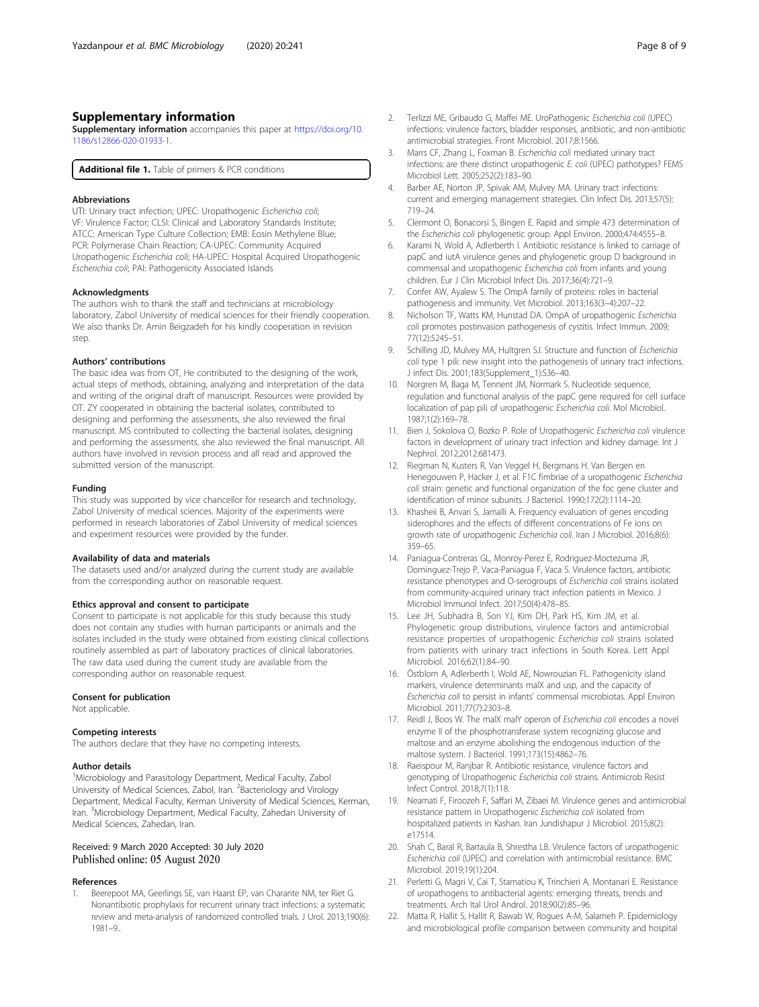## <span id="page-7-0"></span>Supplementary information

Supplementary information accompanies this paper at [https://doi.org/10.](https://doi.org/10.1186/s12866-020-01933-1) [1186/s12866-020-01933-1](https://doi.org/10.1186/s12866-020-01933-1).

Additional file 1. Table of primers & PCR conditions

#### Abbreviations

UTI: Urinary tract infection; UPEC: Uropathogenic Escherichia coli; VF: Virulence Factor; CLSI: Clinical and Laboratory Standards Institute; ATCC: American Type Culture Collection; EMB: Eosin Methylene Blue; PCR: Polymerase Chain Reaction; CA-UPEC: Community Acquired Uropathogenic Escherichia coli; HA-UPEC: Hospital Acquired Uropathogenic Escherichia coli; PAI: Pathogenicity Associated Islands

#### Acknowledgments

The authors wish to thank the staff and technicians at microbiology laboratory, Zabol University of medical sciences for their friendly cooperation. We also thanks Dr. Amin Beigzadeh for his kindly cooperation in revision step.

#### Authors' contributions

The basic idea was from OT, He contributed to the designing of the work, actual steps of methods, obtaining, analyzing and interpretation of the data and writing of the original draft of manuscript. Resources were provided by OT. ZY cooperated in obtaining the bacterial isolates, contributed to designing and performing the assessments, she also reviewed the final manuscript. MS contributed to collecting the bacterial isolates, designing and performing the assessments, she also reviewed the final manuscript. All authors have involved in revision process and all read and approved the submitted version of the manuscript.

#### Funding

This study was supported by vice chancellor for research and technology, Zabol University of medical sciences. Majority of the experiments were performed in research laboratories of Zabol University of medical sciences and experiment resources were provided by the funder.

#### Availability of data and materials

The datasets used and/or analyzed during the current study are available from the corresponding author on reasonable request.

#### Ethics approval and consent to participate

Consent to participate is not applicable for this study because this study does not contain any studies with human participants or animals and the isolates included in the study were obtained from existing clinical collections routinely assembled as part of laboratory practices of clinical laboratories. The raw data used during the current study are available from the corresponding author on reasonable request.

#### Consent for publication

Not applicable.

#### Competing interests

The authors declare that they have no competing interests.

#### Author details

<sup>1</sup>Microbiology and Parasitology Department, Medical Faculty, Zabol University of Medical Sciences, Zabol, Iran. <sup>2</sup>Bacteriology and Virology Department, Medical Faculty, Kerman University of Medical Sciences, Kerman, Iran. <sup>3</sup>Microbiology Department, Medical Faculty, Zahedan University of Medical Sciences, Zahedan, Iran.

## Received: 9 March 2020 Accepted: 30 July 2020 Published online: 05 August 2020

#### References

1. Beerepoot MA, Geerlings SE, van Haarst EP, van Charante NM, ter Riet G. Nonantibiotic prophylaxis for recurrent urinary tract infections: a systematic review and meta-analysis of randomized controlled trials. J Urol. 2013;190(6): 1981–9..

- 2. Terlizzi ME, Gribaudo G, Maffei ME. UroPathogenic Escherichia coli (UPEC) infections: virulence factors, bladder responses, antibiotic, and non-antibiotic antimicrobial strategies. Front Microbiol. 2017;8:1566.
- 3. Marrs CF, Zhang L, Foxman B. Escherichia coli mediated urinary tract infections: are there distinct uropathogenic E. coli (UPEC) pathotypes? FEMS Microbiol Lett. 2005;252(2):183–90.
- 4. Barber AE, Norton JP, Spivak AM, Mulvey MA. Urinary tract infections: current and emerging management strategies. Clin Infect Dis. 2013;57(5): 719–24.
- 5. Clermont O, Bonacorsi S, Bingen E. Rapid and simple 473 determination of the Escherichia coli phylogenetic group. Appl Environ. 2000;474:4555–8.
- 6. Karami N, Wold A, Adlerberth I. Antibiotic resistance is linked to carriage of papC and iutA virulence genes and phylogenetic group D background in commensal and uropathogenic Escherichia coli from infants and young children. Eur J Clin Microbiol Infect Dis. 2017;36(4):721–9.
- 7. Confer AW, Ayalew S. The OmpA family of proteins: roles in bacterial pathogenesis and immunity. Vet Microbiol. 2013;163(3–4):207–22.
- 8. Nicholson TF, Watts KM, Hunstad DA. OmpA of uropathogenic Escherichia coli promotes postinvasion pathogenesis of cystitis. Infect Immun. 2009; 77(12):5245–51.
- 9. Schilling JD, Mulvey MA, Hultgren SJ. Structure and function of Escherichia coli type 1 pili: new insight into the pathogenesis of urinary tract infections. J infect Dis. 2001;183(Supplement\_1):S36–40.
- 10. Norgren M, Baga M, Tennent JM, Normark S. Nucleotide sequence, regulation and functional analysis of the papC gene required for cell surface localization of pap pili of uropathogenic Escherichia coli. Mol Microbiol. 1987;1(2):169–78.
- 11. Bien J, Sokolova O, Bozko P. Role of Uropathogenic Escherichia coli virulence factors in development of urinary tract infection and kidney damage. Int J Nephrol. 2012;2012:681473.
- 12. Riegman N, Kusters R, Van Veggel H, Bergmans H. Van Bergen en Henegouwen P, Hacker J, et al. F1C fimbriae of a uropathogenic Escherichia coli strain: genetic and functional organization of the foc gene cluster and identification of minor subunits. J Bacteriol. 1990;172(2):1114–20.
- 13. Khasheii B, Anvari S, Jamalli A. Frequency evaluation of genes encoding siderophores and the effects of different concentrations of Fe ions on growth rate of uropathogenic Escherichia coli. Iran J Microbiol. 2016;8(6): 359–65.
- 14. Paniagua-Contreras GL, Monroy-Perez E, Rodriguez-Moctezuma JR, Dominguez-Trejo P, Vaca-Paniagua F, Vaca S. Virulence factors, antibiotic resistance phenotypes and O-serogroups of Escherichia coli strains isolated from community-acquired urinary tract infection patients in Mexico. J Microbiol Immunol Infect. 2017;50(4):478–85.
- 15. Lee JH, Subhadra B, Son YJ, Kim DH, Park HS, Kim JM, et al. Phylogenetic group distributions, virulence factors and antimicrobial resistance properties of uropathogenic Escherichia coli strains isolated from patients with urinary tract infections in South Korea. Lett Appl Microbiol. 2016;62(1):84–90.
- 16. Östblom A, Adlerberth I, Wold AE, Nowrouzian FL. Pathogenicity island markers, virulence determinants malX and usp, and the capacity of Escherichia coli to persist in infants' commensal microbiotas. Appl Environ Microbiol. 2011;77(7):2303–8.
- 17. Reidl J, Boos W. The malX malY operon of *Escherichia coli* encodes a novel enzyme II of the phosphotransferase system recognizing glucose and maltose and an enzyme abolishing the endogenous induction of the maltose system. J Bacteriol. 1991;173(15):4862–76.
- 18. Raeispour M, Ranjbar R. Antibiotic resistance, virulence factors and genotyping of Uropathogenic Escherichia coli strains. Antimicrob Resist Infect Control. 2018;7(1):118.
- 19. Neamati F, Firoozeh F, Saffari M, Zibaei M. Virulence genes and antimicrobial resistance pattern in Uropathogenic Escherichia coli isolated from hospitalized patients in Kashan. Iran Jundishapur J Microbiol. 2015;8(2): e17514.
- 20. Shah C, Baral R, Bartaula B, Shrestha LB. Virulence factors of uropathogenic Escherichia coli (UPEC) and correlation with antimicrobial resistance. BMC Microbiol. 2019;19(1):204.
- 21. Perletti G, Magri V, Cai T, Stamatiou K, Trinchieri A, Montanari E. Resistance of uropathogens to antibacterial agents: emerging threats, trends and treatments. Arch Ital Urol Androl. 2018;90(2):85–96.
- 22. Matta R, Hallit S, Hallit R, Bawab W, Rogues A-M, Salameh P. Epidemiology and microbiological profile comparison between community and hospital